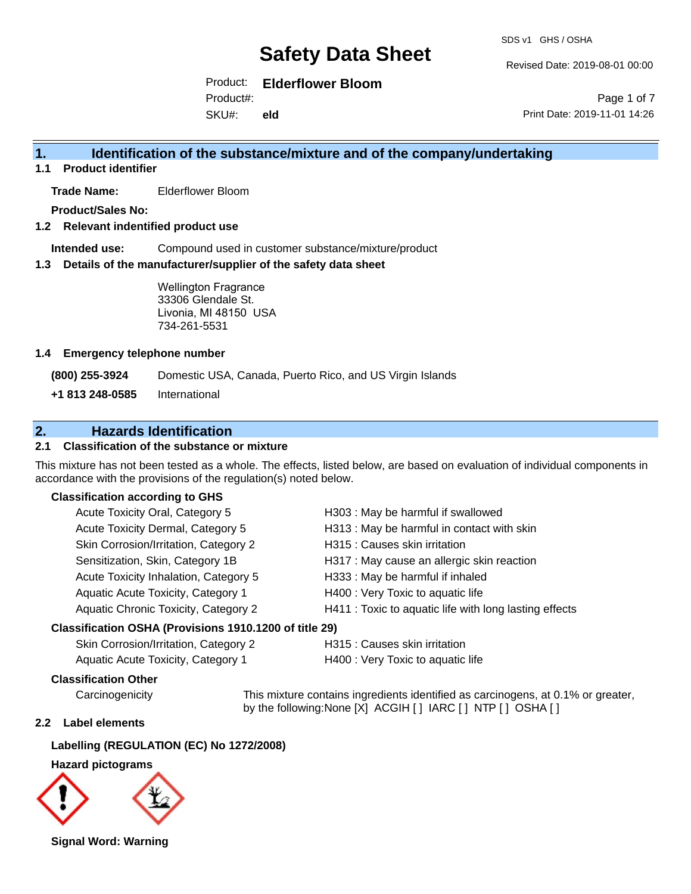Revised Date: 2019-08-01 00:00

Product: **Elderflower Bloom**

SKU#: Product#: **eld**

Page 1 of 7 Print Date: 2019-11-01 14:26

# **1. Identification of the substance/mixture and of the company/undertaking**

**1.1 Product identifier**

**Trade Name:** Elderflower Bloom

**Product/Sales No:**

## **1.2 Relevant indentified product use**

**Intended use:** Compound used in customer substance/mixture/product

#### **1.3 Details of the manufacturer/supplier of the safety data sheet**

Wellington Fragrance 33306 Glendale St. Livonia, MI 48150 USA 734-261-5531

#### **1.4 Emergency telephone number**

**(800) 255-3924** Domestic USA, Canada, Puerto Rico, and US Virgin Islands

**+1 813 248-0585** International

# **2. Hazards Identification**

## **2.1 Classification of the substance or mixture**

This mixture has not been tested as a whole. The effects, listed below, are based on evaluation of individual components in accordance with the provisions of the regulation(s) noted below.

### **Classification according to GHS**

| Acute Toxicity Oral, Category 5       | H303 : May be harmful if swallowed                     |
|---------------------------------------|--------------------------------------------------------|
| Acute Toxicity Dermal, Category 5     | H313 : May be harmful in contact with skin             |
| Skin Corrosion/Irritation, Category 2 | H315 : Causes skin irritation                          |
| Sensitization, Skin, Category 1B      | H317 : May cause an allergic skin reaction             |
| Acute Toxicity Inhalation, Category 5 | H333: May be harmful if inhaled                        |
| Aquatic Acute Toxicity, Category 1    | H400 : Very Toxic to aquatic life                      |
| Aquatic Chronic Toxicity, Category 2  | H411 : Toxic to aquatic life with long lasting effects |
| $\mathbf{r}$                          |                                                        |

#### **Classification OSHA (Provisions 1910.1200 of title 29)**

| Skin Corrosion/Irritation, Category 2 | H315 : C |
|---------------------------------------|----------|
| Aquatic Acute Toxicity, Category 1    | H400:V6  |

auses skin irritation

ery Toxic to aquatic life

## **Classification Other**

Carcinogenicity This mixture contains ingredients identified as carcinogens, at 0.1% or greater, by the following:None [X] ACGIH [ ] IARC [ ] NTP [ ] OSHA [ ]

### **2.2 Label elements**

# **Labelling (REGULATION (EC) No 1272/2008)**

**Hazard pictograms**



**Signal Word: Warning**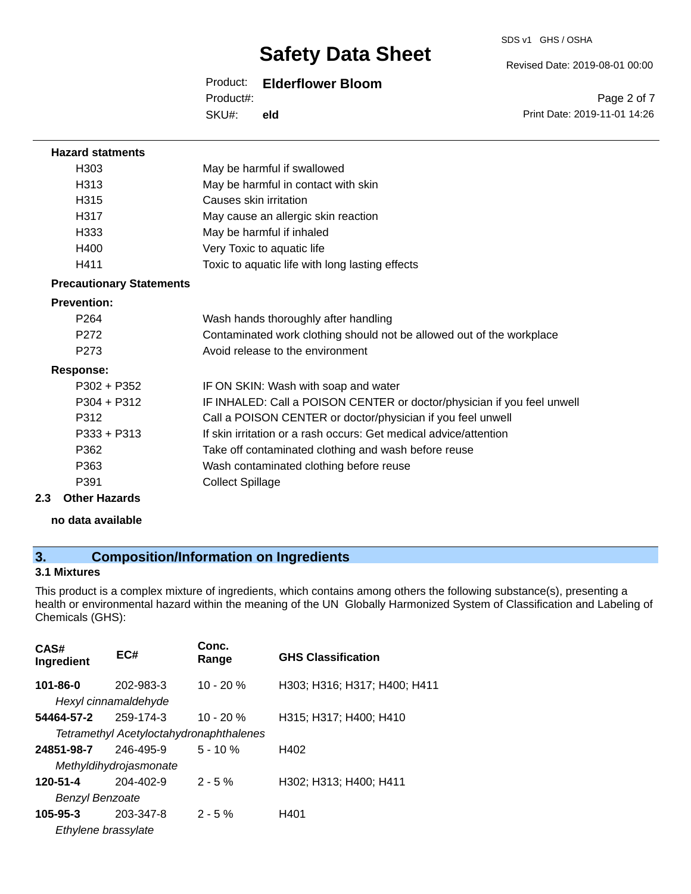#### SDS v1 GHS / OSHA

Revised Date: 2019-08-01 00:00

# Product: **Elderflower Bloom**

SKU#: Product#: **eld**

Page 2 of 7 Print Date: 2019-11-01 14:26

| <b>Hazard statments</b>         |                                                                         |
|---------------------------------|-------------------------------------------------------------------------|
| H303                            | May be harmful if swallowed                                             |
| H313                            | May be harmful in contact with skin                                     |
| H315                            | Causes skin irritation                                                  |
| H317                            | May cause an allergic skin reaction                                     |
| H333                            | May be harmful if inhaled                                               |
| H400                            | Very Toxic to aquatic life                                              |
| H411                            | Toxic to aquatic life with long lasting effects                         |
| <b>Precautionary Statements</b> |                                                                         |
| <b>Prevention:</b>              |                                                                         |
| P <sub>264</sub>                | Wash hands thoroughly after handling                                    |
| P <sub>272</sub>                | Contaminated work clothing should not be allowed out of the workplace   |
| P <sub>273</sub>                | Avoid release to the environment                                        |
| Response:                       |                                                                         |
| $P302 + P352$                   | IF ON SKIN: Wash with soap and water                                    |
| $P304 + P312$                   | IF INHALED: Call a POISON CENTER or doctor/physician if you feel unwell |
| P312                            | Call a POISON CENTER or doctor/physician if you feel unwell             |
| $P333 + P313$                   | If skin irritation or a rash occurs: Get medical advice/attention       |
| P362                            | Take off contaminated clothing and wash before reuse                    |
| P363                            | Wash contaminated clothing before reuse                                 |
| P391                            | <b>Collect Spillage</b>                                                 |
| <b>Other Hazards</b><br>2.3     |                                                                         |
| no data available               |                                                                         |

# **3. Composition/Information on Ingredients**

# **3.1 Mixtures**

This product is a complex mixture of ingredients, which contains among others the following substance(s), presenting a health or environmental hazard within the meaning of the UN Globally Harmonized System of Classification and Labeling of Chemicals (GHS):

| CAS#<br>Ingredient     | EC#                                     | Conc.<br>Range | <b>GHS Classification</b>    |
|------------------------|-----------------------------------------|----------------|------------------------------|
| $101 - 86 - 0$         | 202-983-3<br>Hexyl cinnamaldehyde       | $10 - 20 %$    | H303; H316; H317; H400; H411 |
| 54464-57-2             | 259-174-3                               | $10 - 20 %$    | H315; H317; H400; H410       |
|                        | Tetramethyl Acetyloctahydronaphthalenes |                |                              |
| 24851-98-7             | 246-495-9                               | $5 - 10%$      | H402                         |
|                        | Methyldihydrojasmonate                  |                |                              |
| 120-51-4               | 204-402-9                               | $2 - 5%$       | H302; H313; H400; H411       |
| <b>Benzyl Benzoate</b> |                                         |                |                              |
| $105 - 95 - 3$         | 203-347-8                               | $2 - 5%$       | H401                         |
| Ethylene brassylate    |                                         |                |                              |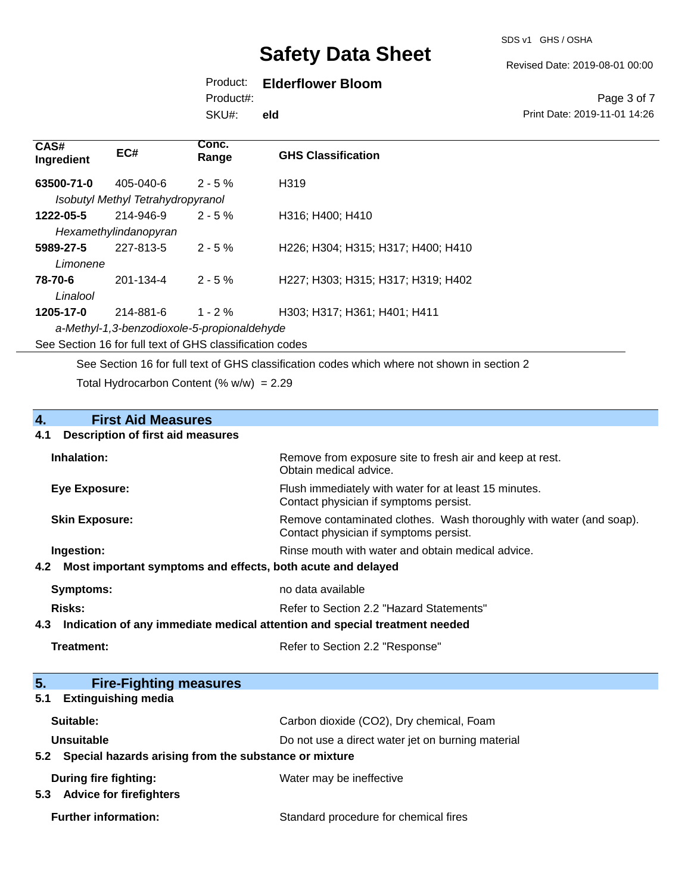SDS v1 GHS / OSHA

Revised Date: 2019-08-01 00:00

# Product: **Elderflower Bloom**

Product#:

SKU#: **eld**

#### Page 3 of 7 Print Date: 2019-11-01 14:26

| CAS#<br>Ingredient    | EC#                                                      | Conc.<br>Range | <b>GHS Classification</b>          |
|-----------------------|----------------------------------------------------------|----------------|------------------------------------|
| 63500-71-0            | 405-040-6<br>Isobutyl Methyl Tetrahydropyranol           | $2 - 5\%$      | H <sub>319</sub>                   |
| 1222-05-5             | 214-946-9<br>Hexamethylindanopyran                       | $2 - 5%$       | H316; H400; H410                   |
| 5989-27-5<br>Limonene | 227-813-5                                                | $2 - 5 \%$     | H226; H304; H315; H317; H400; H410 |
| 78-70-6<br>Linalool   | 201-134-4                                                | $2 - 5 \%$     | H227; H303; H315; H317; H319; H402 |
| 1205-17-0             | 214-881-6<br>a-Methyl-1,3-benzodioxole-5-propionaldehyde | $1 - 2\%$      | H303; H317; H361; H401; H411       |

See Section 16 for full text of GHS classification codes

See Section 16 for full text of GHS classification codes which where not shown in section 2

Total Hydrocarbon Content (%  $w/w$ ) = 2.29

# **4. First Aid Measures 4.1 Description of first aid measures Inhalation:** Remove from exposure site to fresh air and keep at rest.

| P                     | no doto ovojloblo                                                                                             |
|-----------------------|---------------------------------------------------------------------------------------------------------------|
|                       | 4.2 Most important symptoms and effects, both acute and delayed                                               |
| Ingestion:            | Rinse mouth with water and obtain medical advice.                                                             |
| <b>Skin Exposure:</b> | Remove contaminated clothes. Wash thoroughly with water (and soap).<br>Contact physician if symptoms persist. |
| Eye Exposure:         | Flush immediately with water for at least 15 minutes.<br>Contact physician if symptoms persist.               |
|                       | Obtain medical advice.                                                                                        |

| Symptoms:                                                                      | no gata avaliable                        |
|--------------------------------------------------------------------------------|------------------------------------------|
| Risks:                                                                         | Refer to Section 2.2 "Hazard Statements" |
| 4.3 Indication of any immediate medical attention and special treatment needed |                                          |

| 5.<br><b>Fire-Fighting measures</b>                       |                                                   |
|-----------------------------------------------------------|---------------------------------------------------|
| <b>Extinguishing media</b><br>5.1                         |                                                   |
| Suitable:                                                 | Carbon dioxide (CO2), Dry chemical, Foam          |
| Unsuitable                                                | Do not use a direct water jet on burning material |
| 5.2 Special hazards arising from the substance or mixture |                                                   |
| During fire fighting:                                     | Water may be ineffective                          |
| <b>Advice for firefighters</b><br>5.3                     |                                                   |
| <b>Further information:</b>                               | Standard procedure for chemical fires             |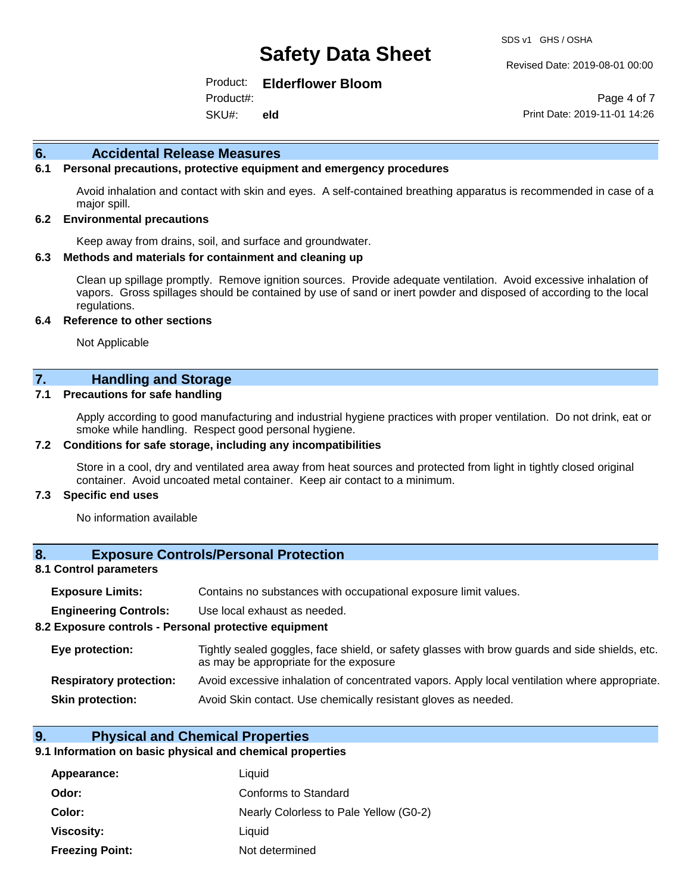#### Revised Date: 2019-08-01 00:00

Product: **Elderflower Bloom**

SKU#: Product#: **eld**

Page 4 of 7 Print Date: 2019-11-01 14:26

#### **6. Accidental Release Measures**

#### **6.1 Personal precautions, protective equipment and emergency procedures**

Avoid inhalation and contact with skin and eyes. A self-contained breathing apparatus is recommended in case of a major spill.

#### **6.2 Environmental precautions**

Keep away from drains, soil, and surface and groundwater.

#### **6.3 Methods and materials for containment and cleaning up**

Clean up spillage promptly. Remove ignition sources. Provide adequate ventilation. Avoid excessive inhalation of vapors. Gross spillages should be contained by use of sand or inert powder and disposed of according to the local regulations.

#### **6.4 Reference to other sections**

Not Applicable

## **7. Handling and Storage**

#### **7.1 Precautions for safe handling**

Apply according to good manufacturing and industrial hygiene practices with proper ventilation. Do not drink, eat or smoke while handling. Respect good personal hygiene.

#### **7.2 Conditions for safe storage, including any incompatibilities**

Store in a cool, dry and ventilated area away from heat sources and protected from light in tightly closed original container. Avoid uncoated metal container. Keep air contact to a minimum.

#### **7.3 Specific end uses**

No information available

### **8. Exposure Controls/Personal Protection**

#### **8.1 Control parameters**

| <b>Exposure Limits:</b> |  | Contains no substances with occupational exposure limit values. |  |  |  |
|-------------------------|--|-----------------------------------------------------------------|--|--|--|
|-------------------------|--|-----------------------------------------------------------------|--|--|--|

**Engineering Controls:** Use local exhaust as needed.

#### **8.2 Exposure controls - Personal protective equipment**

| Eye protection:                | Tightly sealed goggles, face shield, or safety glasses with brow guards and side shields, etc.<br>as may be appropriate for the exposure |
|--------------------------------|------------------------------------------------------------------------------------------------------------------------------------------|
| <b>Respiratory protection:</b> | Avoid excessive inhalation of concentrated vapors. Apply local ventilation where appropriate.                                            |
| <b>Skin protection:</b>        | Avoid Skin contact. Use chemically resistant gloves as needed.                                                                           |

#### **9. Physical and Chemical Properties**

#### **9.1 Information on basic physical and chemical properties**

| Appearance:            | Liquid                                 |
|------------------------|----------------------------------------|
| Odor:                  | Conforms to Standard                   |
| Color:                 | Nearly Colorless to Pale Yellow (G0-2) |
| Viscosity:             | Liquid                                 |
| <b>Freezing Point:</b> | Not determined                         |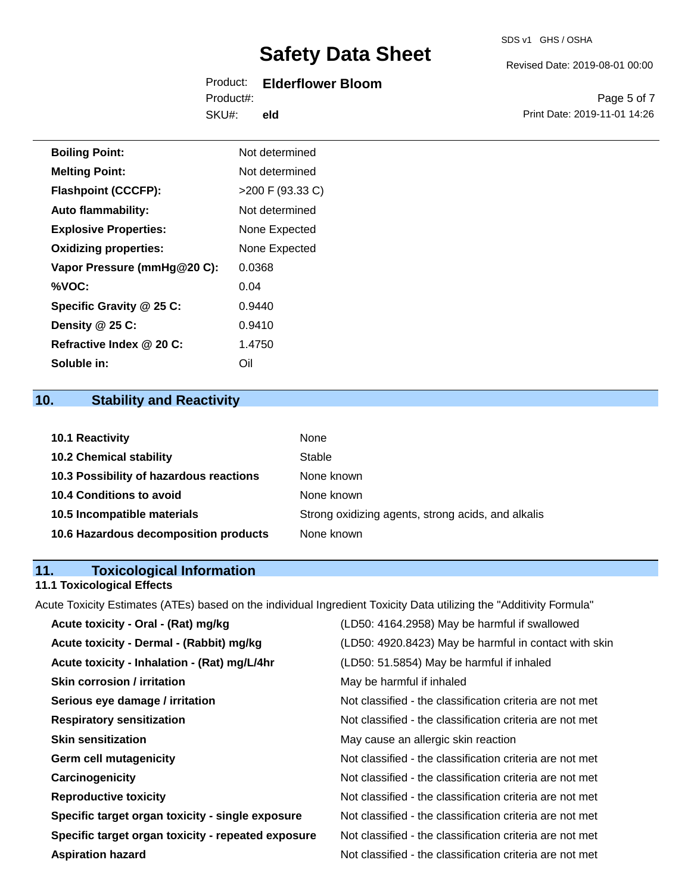### SDS v1 GHS / OSHA

# **Safety Data Sheet**

## Product: **Elderflower Bloom** Product#:

SKU#: **eld** Revised Date: 2019-08-01 00:00

Page 5 of 7 Print Date: 2019-11-01 14:26

| <b>Boiling Point:</b>        | Not determined     |
|------------------------------|--------------------|
| <b>Melting Point:</b>        | Not determined     |
| <b>Flashpoint (CCCFP):</b>   | $>200$ F (93.33 C) |
| <b>Auto flammability:</b>    | Not determined     |
| <b>Explosive Properties:</b> | None Expected      |
| <b>Oxidizing properties:</b> | None Expected      |
| Vapor Pressure (mmHg@20 C):  | 0.0368             |
| %VOC:                        | 0.04               |
| Specific Gravity @ 25 C:     | 0.9440             |
| Density @ 25 C:              | 0.9410             |
| Refractive Index @ 20 C:     | 1.4750             |
| Soluble in:                  | Oil                |

# **10. Stability and Reactivity**

| 10.1 Reactivity                         | <b>None</b>                                        |
|-----------------------------------------|----------------------------------------------------|
| <b>10.2 Chemical stability</b>          | Stable                                             |
| 10.3 Possibility of hazardous reactions | None known                                         |
| <b>10.4 Conditions to avoid</b>         | None known                                         |
| 10.5 Incompatible materials             | Strong oxidizing agents, strong acids, and alkalis |
| 10.6 Hazardous decomposition products   | None known                                         |

# **11. Toxicological Information**

# **11.1 Toxicological Effects**

Acute Toxicity Estimates (ATEs) based on the individual Ingredient Toxicity Data utilizing the "Additivity Formula"

| Acute toxicity - Oral - (Rat) mg/kg                | (LD50: 4164.2958) May be harmful if swallowed            |
|----------------------------------------------------|----------------------------------------------------------|
| Acute toxicity - Dermal - (Rabbit) mg/kg           | (LD50: 4920.8423) May be harmful in contact with skin    |
| Acute toxicity - Inhalation - (Rat) mg/L/4hr       | (LD50: 51.5854) May be harmful if inhaled                |
| <b>Skin corrosion / irritation</b>                 | May be harmful if inhaled                                |
| Serious eye damage / irritation                    | Not classified - the classification criteria are not met |
| <b>Respiratory sensitization</b>                   | Not classified - the classification criteria are not met |
| <b>Skin sensitization</b>                          | May cause an allergic skin reaction                      |
| <b>Germ cell mutagenicity</b>                      | Not classified - the classification criteria are not met |
| Carcinogenicity                                    | Not classified - the classification criteria are not met |
| <b>Reproductive toxicity</b>                       | Not classified - the classification criteria are not met |
| Specific target organ toxicity - single exposure   | Not classified - the classification criteria are not met |
| Specific target organ toxicity - repeated exposure | Not classified - the classification criteria are not met |
| <b>Aspiration hazard</b>                           | Not classified - the classification criteria are not met |
|                                                    |                                                          |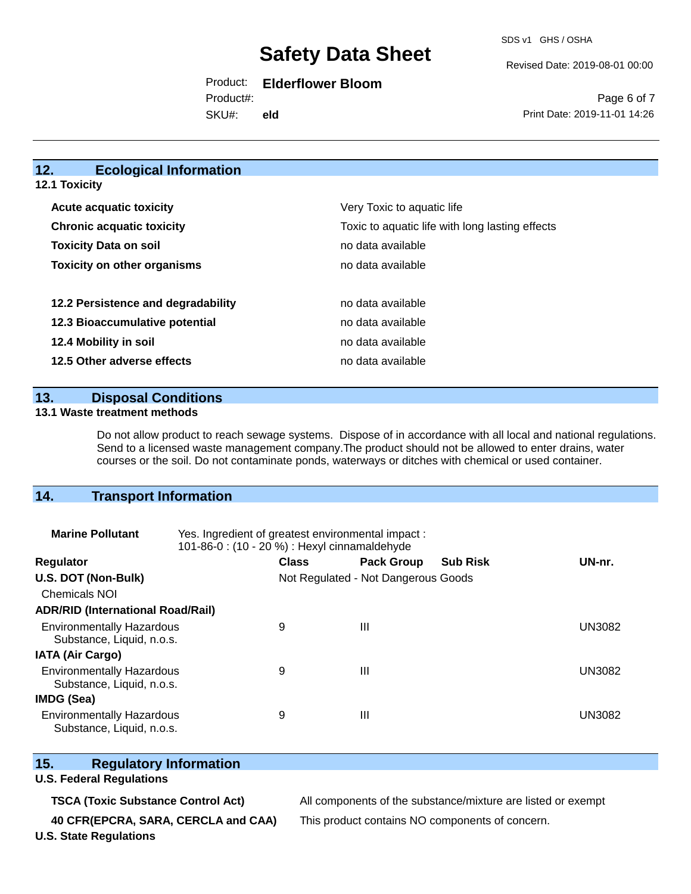SDS v1 GHS / OSHA

Revised Date: 2019-08-01 00:00

# Product: **Elderflower Bloom**

SKU#: Product#: **eld**

Page 6 of 7 Print Date: 2019-11-01 14:26

# **12. Ecological Information**

**12.1 Toxicity**

| <b>Acute acquatic toxicity</b>     | Very Toxic to aquatic life                      |
|------------------------------------|-------------------------------------------------|
| <b>Chronic acquatic toxicity</b>   | Toxic to aquatic life with long lasting effects |
| <b>Toxicity Data on soil</b>       | no data available                               |
| <b>Toxicity on other organisms</b> | no data available                               |
|                                    |                                                 |
| 12.2 Persistence and degradability | no data available                               |
| 12.3 Bioaccumulative potential     | no data available                               |
| 12.4 Mobility in soil              | no data available                               |
| 12.5 Other adverse effects         | no data available                               |

### **13. Disposal Conditions**

#### **13.1 Waste treatment methods**

Do not allow product to reach sewage systems. Dispose of in accordance with all local and national regulations. Send to a licensed waste management company.The product should not be allowed to enter drains, water courses or the soil. Do not contaminate ponds, waterways or ditches with chemical or used container.

# **14. Transport Information**

| <b>Marine Pollutant</b>                                       | Yes. Ingredient of greatest environmental impact:<br>101-86-0: (10 - 20 %) : Hexyl cinnamaldehyde |                                     |                   |                 |               |
|---------------------------------------------------------------|---------------------------------------------------------------------------------------------------|-------------------------------------|-------------------|-----------------|---------------|
| <b>Regulator</b>                                              |                                                                                                   | <b>Class</b>                        | <b>Pack Group</b> | <b>Sub Risk</b> | UN-nr.        |
| U.S. DOT (Non-Bulk)                                           |                                                                                                   | Not Regulated - Not Dangerous Goods |                   |                 |               |
| <b>Chemicals NOI</b>                                          |                                                                                                   |                                     |                   |                 |               |
| <b>ADR/RID (International Road/Rail)</b>                      |                                                                                                   |                                     |                   |                 |               |
| <b>Environmentally Hazardous</b><br>Substance, Liquid, n.o.s. |                                                                                                   | 9                                   | Ш                 |                 | <b>UN3082</b> |
| <b>IATA (Air Cargo)</b>                                       |                                                                                                   |                                     |                   |                 |               |
| <b>Environmentally Hazardous</b><br>Substance, Liquid, n.o.s. |                                                                                                   | 9                                   | Ш                 |                 | UN3082        |
| <b>IMDG (Sea)</b>                                             |                                                                                                   |                                     |                   |                 |               |
| <b>Environmentally Hazardous</b><br>Substance, Liquid, n.o.s. |                                                                                                   | 9                                   | Ш                 |                 | UN3082        |

# **15. Regulatory Information**

#### **U.S. Federal Regulations**

**TSCA (Toxic Substance Control Act)** All components of the substance/mixture are listed or exempt

**40 CFR(EPCRA, SARA, CERCLA and CAA)** This product contains NO components of concern.

**U.S. State Regulations**